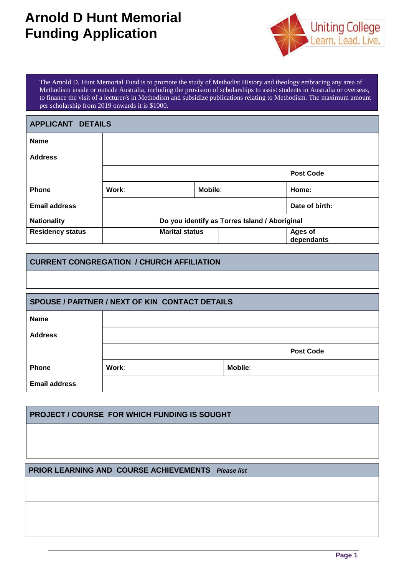# **Arnold D Hunt Memorial Funding Application**



The Arnold D. Hunt Memorial Fund is to promote the study of Methodist History and theology embracing any area of Methodism inside or outside Australia, including the provision of scholarships to assist students in Australia or overseas, to finance the visit of a lecturer/s in Methodism and subsidize publications relating to Methodism. The maximum amount per scholarship from 2019 onwards it is \$1000.

| <b>APPLICANT DETAILS</b> |                                               |  |                |            |       |                  |
|--------------------------|-----------------------------------------------|--|----------------|------------|-------|------------------|
| <b>Name</b>              |                                               |  |                |            |       |                  |
| <b>Address</b>           |                                               |  |                |            |       |                  |
|                          |                                               |  |                |            |       | <b>Post Code</b> |
| <b>Phone</b>             | Work:                                         |  | Mobile:        |            | Home: |                  |
| <b>Email address</b>     |                                               |  |                |            |       | Date of birth:   |
| <b>Nationality</b>       | Do you identify as Torres Island / Aboriginal |  |                |            |       |                  |
| <b>Residency status</b>  | <b>Marital status</b>                         |  | <b>Ages of</b> | dependants |       |                  |

## **CURRENT CONGREGATION / CHURCH AFFILIATION**

| SPOUSE / PARTNER / NEXT OF KIN CONTACT DETAILS |       |                  |  |  |  |
|------------------------------------------------|-------|------------------|--|--|--|
| <b>Name</b>                                    |       |                  |  |  |  |
| <b>Address</b>                                 |       |                  |  |  |  |
|                                                |       | <b>Post Code</b> |  |  |  |
| <b>Phone</b>                                   | Work: | <b>Mobile:</b>   |  |  |  |
| <b>Email address</b>                           |       |                  |  |  |  |

### **PROJECT / COURSE FOR WHICH FUNDING IS SOUGHT**

#### **PRIOR LEARNING AND COURSE ACHIEVEMENTS** *Please list*